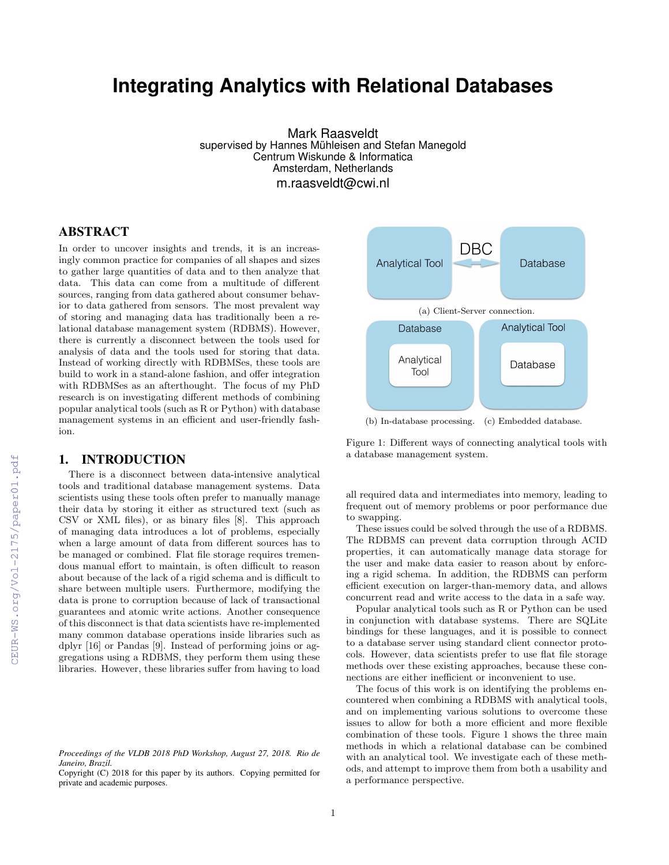# **Integrating Analytics with Relational Databases**

Mark Raasveldt supervised by Hannes Mühleisen and Stefan Manegold Centrum Wiskunde & Informatica Amsterdam, Netherlands m.raasveldt@cwi.nl

# ABSTRACT

In order to uncover insights and trends, it is an increasingly common practice for companies of all shapes and sizes to gather large quantities of data and to then analyze that data. This data can come from a multitude of different sources, ranging from data gathered about consumer behavior to data gathered from sensors. The most prevalent way of storing and managing data has traditionally been a relational database management system (RDBMS). However, there is currently a disconnect between the tools used for analysis of data and the tools used for storing that data. Instead of working directly with RDBMSes, these tools are build to work in a stand-alone fashion, and offer integration with RDBMSes as an afterthought. The focus of my PhD research is on investigating different methods of combining popular analytical tools (such as R or Python) with database management systems in an efficient and user-friendly fashion.

# 1. INTRODUCTION

There is a disconnect between data-intensive analytical tools and traditional database management systems. Data scientists using these tools often prefer to manually manage their data by storing it either as structured text (such as CSV or XML files), or as binary files [8]. This approach of managing data introduces a lot of problems, especially when a large amount of data from different sources has to be managed or combined. Flat file storage requires tremendous manual effort to maintain, is often difficult to reason about because of the lack of a rigid schema and is difficult to share between multiple users. Furthermore, modifying the data is prone to corruption because of lack of transactional guarantees and atomic write actions. Another consequence of this disconnect is that data scientists have re-implemented many common database operations inside libraries such as dplyr [16] or Pandas [9]. Instead of performing joins or aggregations using a RDBMS, they perform them using these libraries. However, these libraries suffer from having to load



(b) In-database processing. (c) Embedded database.

Figure 1: Different ways of connecting analytical tools with a database management system.

all required data and intermediates into memory, leading to frequent out of memory problems or poor performance due to swapping.

These issues could be solved through the use of a RDBMS. The RDBMS can prevent data corruption through ACID properties, it can automatically manage data storage for the user and make data easier to reason about by enforcing a rigid schema. In addition, the RDBMS can perform efficient execution on larger-than-memory data, and allows concurrent read and write access to the data in a safe way.

Popular analytical tools such as R or Python can be used in conjunction with database systems. There are SQLite bindings for these languages, and it is possible to connect to a database server using standard client connector protocols. However, data scientists prefer to use flat file storage methods over these existing approaches, because these connections are either inefficient or inconvenient to use.

The focus of this work is on identifying the problems encountered when combining a RDBMS with analytical tools, and on implementing various solutions to overcome these issues to allow for both a more efficient and more flexible combination of these tools. Figure 1 shows the three main methods in which a relational database can be combined with an analytical tool. We investigate each of these methods, and attempt to improve them from both a usability and a performance perspective.

*Proceedings of the VLDB 2018 PhD Workshop, August 27, 2018. Rio de Janeiro, Brazil.*

Copyright (C) 2018 for this paper by its authors. Copying permitted for private and academic purposes.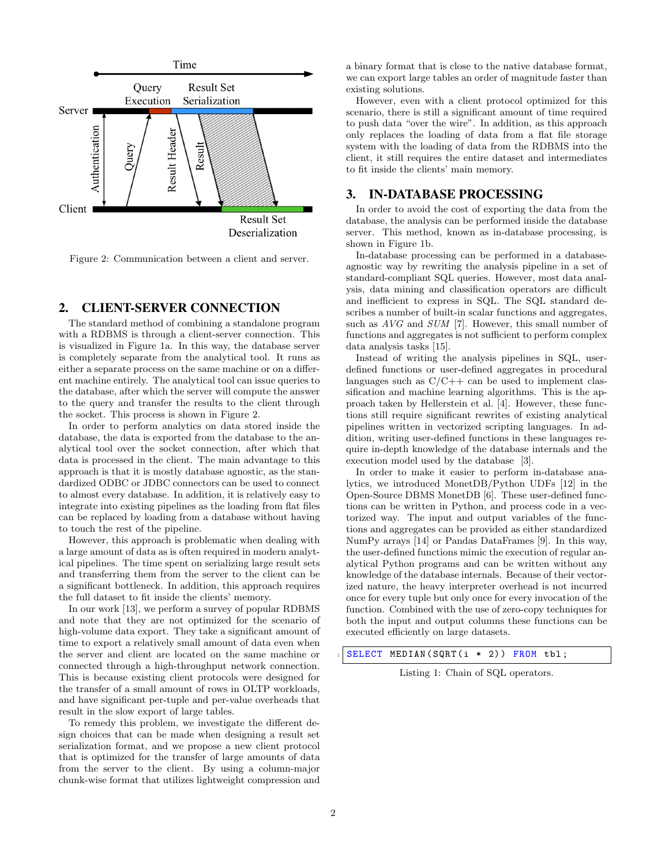

Figure 2: Communication between a client and server.

## 2. CLIENT-SERVER CONNECTION

The standard method of combining a standalone program with a RDBMS is through a client-server connection. This is visualized in Figure 1a. In this way, the database server is completely separate from the analytical tool. It runs as either a separate process on the same machine or on a different machine entirely. The analytical tool can issue queries to the database, after which the server will compute the answer to the query and transfer the results to the client through the socket. This process is shown in Figure 2.

In order to perform analytics on data stored inside the database, the data is exported from the database to the analytical tool over the socket connection, after which that data is processed in the client. The main advantage to this approach is that it is mostly database agnostic, as the standardized ODBC or JDBC connectors can be used to connect to almost every database. In addition, it is relatively easy to integrate into existing pipelines as the loading from flat files can be replaced by loading from a database without having to touch the rest of the pipeline.

However, this approach is problematic when dealing with a large amount of data as is often required in modern analytical pipelines. The time spent on serializing large result sets and transferring them from the server to the client can be a significant bottleneck. In addition, this approach requires the full dataset to fit inside the clients' memory.

In our work [13], we perform a survey of popular RDBMS and note that they are not optimized for the scenario of high-volume data export. They take a significant amount of time to export a relatively small amount of data even when the server and client are located on the same machine or connected through a high-throughput network connection. This is because existing client protocols were designed for the transfer of a small amount of rows in OLTP workloads, and have significant per-tuple and per-value overheads that result in the slow export of large tables.

To remedy this problem, we investigate the different design choices that can be made when designing a result set serialization format, and we propose a new client protocol that is optimized for the transfer of large amounts of data from the server to the client. By using a column-major chunk-wise format that utilizes lightweight compression and a binary format that is close to the native database format, we can export large tables an order of magnitude faster than existing solutions.

However, even with a client protocol optimized for this scenario, there is still a significant amount of time required to push data "over the wire". In addition, as this approach only replaces the loading of data from a flat file storage system with the loading of data from the RDBMS into the client, it still requires the entire dataset and intermediates to fit inside the clients' main memory.

## 3. IN-DATABASE PROCESSING

In order to avoid the cost of exporting the data from the database, the analysis can be performed inside the database server. This method, known as in-database processing, is shown in Figure 1b.

In-database processing can be performed in a databaseagnostic way by rewriting the analysis pipeline in a set of standard-compliant SQL queries. However, most data analysis, data mining and classification operators are difficult and inefficient to express in SQL. The SQL standard describes a number of built-in scalar functions and aggregates, such as AVG and SUM [7]. However, this small number of functions and aggregates is not sufficient to perform complex data analysis tasks [15].

Instead of writing the analysis pipelines in SQL, userdefined functions or user-defined aggregates in procedural languages such as  $C/C++$  can be used to implement classification and machine learning algorithms. This is the approach taken by Hellerstein et al. [4]. However, these functions still require significant rewrites of existing analytical pipelines written in vectorized scripting languages. In addition, writing user-defined functions in these languages require in-depth knowledge of the database internals and the execution model used by the database [3].

In order to make it easier to perform in-database analytics, we introduced MonetDB/Python UDFs [12] in the Open-Source DBMS MonetDB [6]. These user-defined functions can be written in Python, and process code in a vectorized way. The input and output variables of the functions and aggregates can be provided as either standardized NumPy arrays [14] or Pandas DataFrames [9]. In this way, the user-defined functions mimic the execution of regular analytical Python programs and can be written without any knowledge of the database internals. Because of their vectorized nature, the heavy interpreter overhead is not incurred once for every tuple but only once for every invocation of the function. Combined with the use of zero-copy techniques for both the input and output columns these functions can be executed efficiently on large datasets.

SELECT MEDIAN ( SQRT ( i \* 2) ) FROM tbl;

Listing 1: Chain of SQL operators.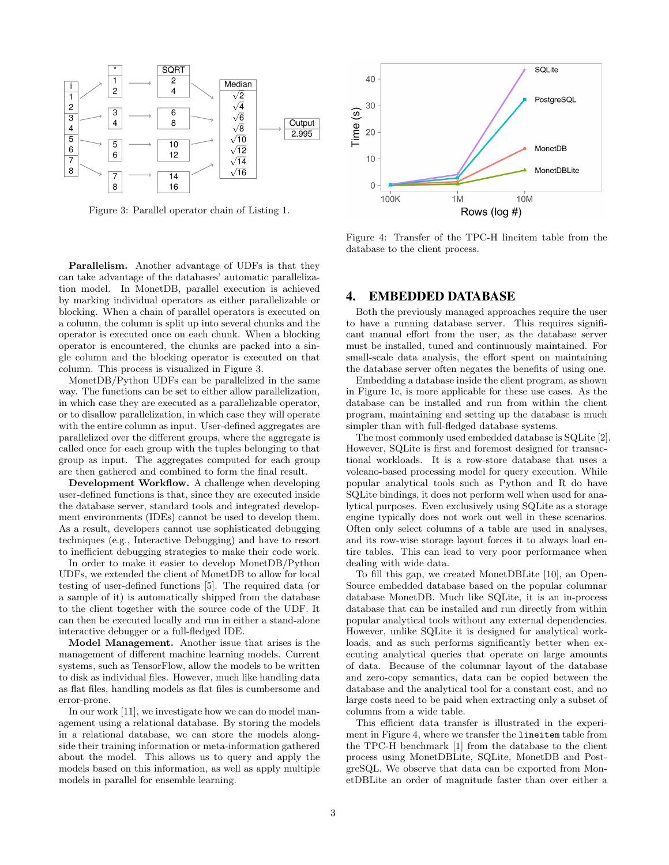

Figure 3: Parallel operator chain of Listing 1.

Parallelism. Another advantage of UDFs is that they can take advantage of the databases' automatic parallelization model. In MonetDB, parallel execution is achieved by marking individual operators as either parallelizable or blocking. When a chain of parallel operators is executed on a column, the column is split up into several chunks and the operator is executed once on each chunk. When a blocking operator is encountered, the chunks are packed into a single column and the blocking operator is executed on that column. This process is visualized in Figure 3.

MonetDB/Python UDFs can be parallelized in the same way. The functions can be set to either allow parallelization, in which case they are executed as a parallelizable operator, or to disallow parallelization, in which case they will operate with the entire column as input. User-defined aggregates are parallelized over the different groups, where the aggregate is called once for each group with the tuples belonging to that group as input. The aggregates computed for each group are then gathered and combined to form the final result.

Development Workflow. A challenge when developing user-defined functions is that, since they are executed inside the database server, standard tools and integrated development environments (IDEs) cannot be used to develop them. As a result, developers cannot use sophisticated debugging techniques (e.g., Interactive Debugging) and have to resort to inefficient debugging strategies to make their code work.

In order to make it easier to develop MonetDB/Python UDFs, we extended the client of MonetDB to allow for local testing of user-defined functions [5]. The required data (or a sample of it) is automatically shipped from the database to the client together with the source code of the UDF. It can then be executed locally and run in either a stand-alone interactive debugger or a full-fledged IDE.

Model Management. Another issue that arises is the management of different machine learning models. Current systems, such as TensorFlow, allow the models to be written to disk as individual files. However, much like handling data as flat files, handling models as flat files is cumbersome and error-prone.

In our work [11], we investigate how we can do model management using a relational database. By storing the models in a relational database, we can store the models alongside their training information or meta-information gathered about the model. This allows us to query and apply the models based on this information, as well as apply multiple models in parallel for ensemble learning.



Figure 4: Transfer of the TPC-H lineitem table from the database to the client process.

#### 4. EMBEDDED DATABASE

Both the previously managed approaches require the user to have a running database server. This requires significant manual effort from the user, as the database server must be installed, tuned and continuously maintained. For small-scale data analysis, the effort spent on maintaining the database server often negates the benefits of using one.

Embedding a database inside the client program, as shown in Figure 1c, is more applicable for these use cases. As the database can be installed and run from within the client program, maintaining and setting up the database is much simpler than with full-fledged database systems.

The most commonly used embedded database is SQLite [2]. However, SQLite is first and foremost designed for transactional workloads. It is a row-store database that uses a volcano-based processing model for query execution. While popular analytical tools such as Python and R do have SQLite bindings, it does not perform well when used for analytical purposes. Even exclusively using SQLite as a storage engine typically does not work out well in these scenarios. Often only select columns of a table are used in analyses, and its row-wise storage layout forces it to always load entire tables. This can lead to very poor performance when dealing with wide data.

To fill this gap, we created MonetDBLite [10], an Open-Source embedded database based on the popular columnar database MonetDB. Much like SQLite, it is an in-process database that can be installed and run directly from within popular analytical tools without any external dependencies. However, unlike SQLite it is designed for analytical workloads, and as such performs significantly better when executing analytical queries that operate on large amounts of data. Because of the columnar layout of the database and zero-copy semantics, data can be copied between the database and the analytical tool for a constant cost, and no large costs need to be paid when extracting only a subset of columns from a wide table.

This efficient data transfer is illustrated in the experiment in Figure 4, where we transfer the lineitem table from the TPC-H benchmark [1] from the database to the client process using MonetDBLite, SQLite, MonetDB and PostgreSQL. We observe that data can be exported from MonetDBLite an order of magnitude faster than over either a